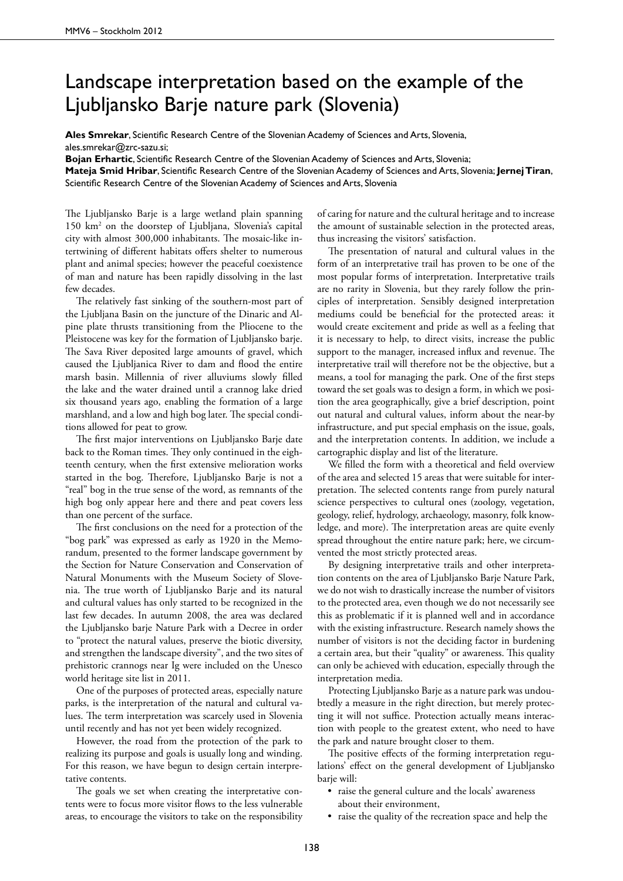## Landscape interpretation based on the example of the Ljubljansko Barje nature park (Slovenia)

**Ales Smrekar**, Scientific Research Centre of the Slovenian Academy of Sciences and Arts, Slovenia, ales.smrekar@zrc-sazu.si;

**Bojan Erhartic**, Scientific Research Centre of the Slovenian Academy of Sciences and Arts, Slovenia;

**Mateja Smid Hribar**, Scientific Research Centre of the Slovenian Academy of Sciences and Arts, Slovenia; **Jernej Tiran**, Scientific Research Centre of the Slovenian Academy of Sciences and Arts, Slovenia

The Ljubljansko Barje is a large wetland plain spanning 150 km2 on the doorstep of Ljubljana, Slovenia's capital city with almost 300,000 inhabitants. The mosaic-like intertwining of different habitats offers shelter to numerous plant and animal species; however the peaceful coexistence of man and nature has been rapidly dissolving in the last few decades.

The relatively fast sinking of the southern-most part of the Ljubljana Basin on the juncture of the Dinaric and Alpine plate thrusts transitioning from the Pliocene to the Pleistocene was key for the formation of Ljubljansko barje. The Sava River deposited large amounts of gravel, which caused the Ljubljanica River to dam and flood the entire marsh basin. Millennia of river alluviums slowly filled the lake and the water drained until a crannog lake dried six thousand years ago, enabling the formation of a large marshland, and a low and high bog later. The special conditions allowed for peat to grow.

The first major interventions on Ljubljansko Barje date back to the Roman times. They only continued in the eighteenth century, when the first extensive melioration works started in the bog. Therefore, Ljubljansko Barje is not a "real" bog in the true sense of the word, as remnants of the high bog only appear here and there and peat covers less than one percent of the surface.

The first conclusions on the need for a protection of the "bog park" was expressed as early as 1920 in the Memorandum, presented to the former landscape government by the Section for Nature Conservation and Conservation of Natural Monuments with the Museum Society of Slovenia. The true worth of Ljubljansko Barje and its natural and cultural values has only started to be recognized in the last few decades. In autumn 2008, the area was declared the Ljubljansko barje Nature Park with a Decree in order to "protect the natural values, preserve the biotic diversity, and strengthen the landscape diversity", and the two sites of prehistoric crannogs near Ig were included on the Unesco world heritage site list in 2011.

One of the purposes of protected areas, especially nature parks, is the interpretation of the natural and cultural values. The term interpretation was scarcely used in Slovenia until recently and has not yet been widely recognized.

However, the road from the protection of the park to realizing its purpose and goals is usually long and winding. For this reason, we have begun to design certain interpretative contents.

The goals we set when creating the interpretative contents were to focus more visitor flows to the less vulnerable areas, to encourage the visitors to take on the responsibility

of caring for nature and the cultural heritage and to increase the amount of sustainable selection in the protected areas, thus increasing the visitors' satisfaction.

The presentation of natural and cultural values in the form of an interpretative trail has proven to be one of the most popular forms of interpretation. Interpretative trails are no rarity in Slovenia, but they rarely follow the principles of interpretation. Sensibly designed interpretation mediums could be beneficial for the protected areas: it would create excitement and pride as well as a feeling that it is necessary to help, to direct visits, increase the public support to the manager, increased influx and revenue. The interpretative trail will therefore not be the objective, but a means, a tool for managing the park. One of the first steps toward the set goals was to design a form, in which we position the area geographically, give a brief description, point out natural and cultural values, inform about the near-by infrastructure, and put special emphasis on the issue, goals, and the interpretation contents. In addition, we include a cartographic display and list of the literature.

We filled the form with a theoretical and field overview of the area and selected 15 areas that were suitable for interpretation. The selected contents range from purely natural science perspectives to cultural ones (zoology, vegetation, geology, relief, hydrology, archaeology, masonry, folk knowledge, and more). The interpretation areas are quite evenly spread throughout the entire nature park; here, we circumvented the most strictly protected areas.

By designing interpretative trails and other interpretation contents on the area of Ljubljansko Barje Nature Park, we do not wish to drastically increase the number of visitors to the protected area, even though we do not necessarily see this as problematic if it is planned well and in accordance with the existing infrastructure. Research namely shows the number of visitors is not the deciding factor in burdening a certain area, but their "quality" or awareness. This quality can only be achieved with education, especially through the interpretation media.

Protecting Ljubljansko Barje as a nature park was undoubtedly a measure in the right direction, but merely protecting it will not suffice. Protection actually means interaction with people to the greatest extent, who need to have the park and nature brought closer to them.

The positive effects of the forming interpretation regulations' effect on the general development of Ljubljansko barje will:

- raise the general culture and the locals' awareness about their environment,
- raise the quality of the recreation space and help the